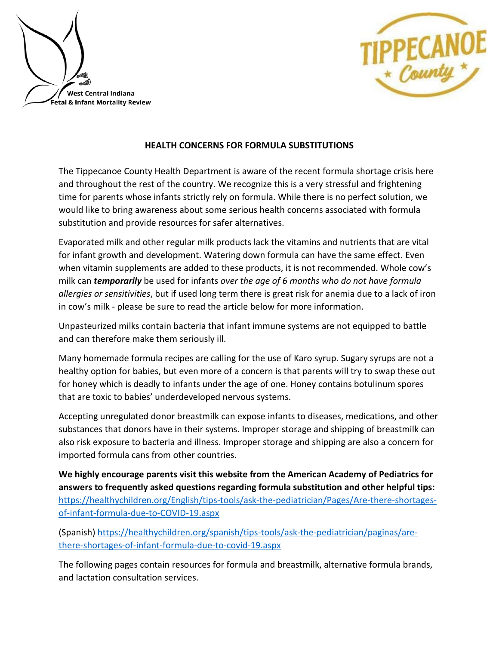



## **HEALTH CONCERNS FOR FORMULA SUBSTITUTIONS**

The Tippecanoe County Health Department is aware of the recent formula shortage crisis here and throughout the rest of the country. We recognize this is a very stressful and frightening time for parents whose infants strictly rely on formula. While there is no perfect solution, we would like to bring awareness about some serious health concerns associated with formula substitution and provide resources for safer alternatives.

Evaporated milk and other regular milk products lack the vitamins and nutrients that are vital for infant growth and development. Watering down formula can have the same effect. Even when vitamin supplements are added to these products, it is not recommended. Whole cow's milk can *temporarily* be used for infants *over the age of 6 months who do not have formula allergies or sensitivities*, but if used long term there is great risk for anemia due to a lack of iron in cow's milk - please be sure to read the article below for more information.

Unpasteurized milks contain bacteria that infant immune systems are not equipped to battle and can therefore make them seriously ill.

Many homemade formula recipes are calling for the use of Karo syrup. Sugary syrups are not a healthy option for babies, but even more of a concern is that parents will try to swap these out for honey which is deadly to infants under the age of one. Honey contains botulinum spores that are toxic to babies' underdeveloped nervous systems.

Accepting unregulated donor breastmilk can expose infants to diseases, medications, and other substances that donors have in their systems. Improper storage and shipping of breastmilk can also risk exposure to bacteria and illness. Improper storage and shipping are also a concern for imported formula cans from other countries.

**We highly encourage parents visit this website from the American Academy of Pediatrics for answers to frequently asked questions regarding formula substitution and other helpful tips:** [https://healthychildren.org/English/tips-tools/ask-the-pediatrician/Pages/Are-there-shortages](https://healthychildren.org/English/tips-tools/ask-the-pediatrician/Pages/Are-there-shortages-of-infant-formula-due-to-COVID-19.aspx)[of-infant-formula-due-to-COVID-19.aspx](https://healthychildren.org/English/tips-tools/ask-the-pediatrician/Pages/Are-there-shortages-of-infant-formula-due-to-COVID-19.aspx) 

(Spanish[\) https://healthychildren.org/spanish/tips-tools/ask-the-pediatrician/paginas/are](https://healthychildren.org/spanish/tips-tools/ask-the-pediatrician/paginas/are-there-shortages-of-infant-formula-due-to-covid-19.aspx)[there-shortages-of-infant-formula-due-to-covid-19.aspx](https://healthychildren.org/spanish/tips-tools/ask-the-pediatrician/paginas/are-there-shortages-of-infant-formula-due-to-covid-19.aspx) 

The following pages contain resources for formula and breastmilk, alternative formula brands, and lactation consultation services.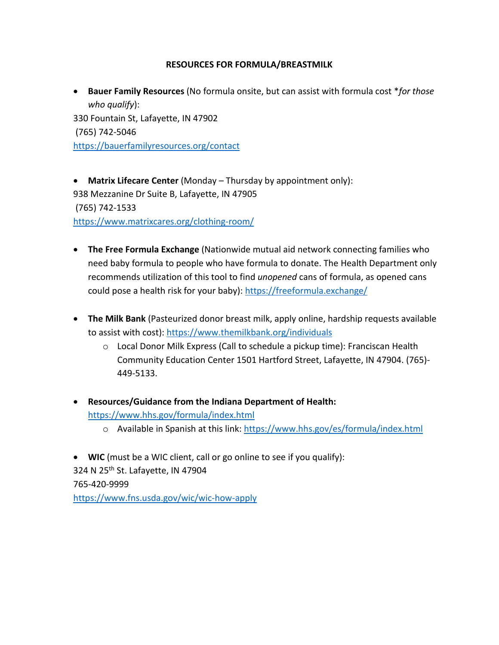## **RESOURCES FOR FORMULA/BREASTMILK**

• **Bauer Family Resources** (No formula onsite, but can assist with formula cost \**for those who qualify*): 330 Fountain St, Lafayette, IN 47902 (765) 742-5046 <https://bauerfamilyresources.org/contact>

• **Matrix Lifecare Center** (Monday – Thursday by appointment only): 938 Mezzanine Dr Suite B, Lafayette, IN 47905 (765) 742-1533 <https://www.matrixcares.org/clothing-room/>

- **The Free Formula Exchange** (Nationwide mutual aid network connecting families who need baby formula to people who have formula to donate. The Health Department only recommends utilization of this tool to find *unopened* cans of formula, as opened cans could pose a health risk for your baby):<https://freeformula.exchange/>
- **The Milk Bank** (Pasteurized donor breast milk, apply online, hardship requests available to assist with cost):<https://www.themilkbank.org/individuals>
	- o Local Donor Milk Express (Call to schedule a pickup time): Franciscan Health Community Education Center 1501 Hartford Street, Lafayette, IN 47904. (765)- 449-5133.
- **Resources/Guidance from the Indiana Department of Health:** <https://www.hhs.gov/formula/index.html> o Available in Spanish at this link:<https://www.hhs.gov/es/formula/index.html>

• **WIC** (must be a WIC client, call or go online to see if you qualify): 324 N 25<sup>th</sup> St. Lafayette, IN 47904 765-420-9999 <https://www.fns.usda.gov/wic/wic-how-apply>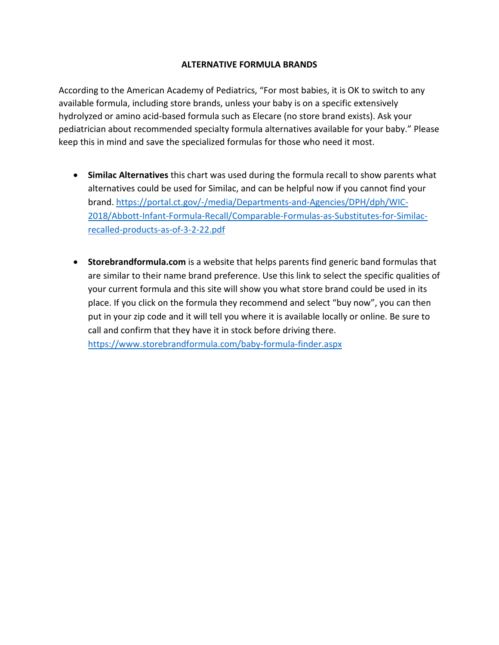## **ALTERNATIVE FORMULA BRANDS**

According to the American Academy of Pediatrics, "For most babies, it is OK to switch to any available formula, including store brands, unless your baby is on a specific extensively hydrolyzed or amino acid-based formula such as Elecare (no store brand exists). Ask your pediatrician about recommended specialty formula alternatives available for your baby." Please keep this in mind and save the specialized formulas for those who need it most.

- **Similac Alternatives** this chart was used during the formula recall to show parents what alternatives could be used for Similac, and can be helpful now if you cannot find your brand. [https://portal.ct.gov/-/media/Departments-and-Agencies/DPH/dph/WIC-](https://portal.ct.gov/-/media/Departments-and-Agencies/DPH/dph/WIC-2018/Abbott-Infant-Formula-Recall/Comparable-Formulas-as-Substitutes-for-Similac-recalled-products-as-of-3-2-22.pdf)[2018/Abbott-Infant-Formula-Recall/Comparable-Formulas-as-Substitutes-for-Similac](https://portal.ct.gov/-/media/Departments-and-Agencies/DPH/dph/WIC-2018/Abbott-Infant-Formula-Recall/Comparable-Formulas-as-Substitutes-for-Similac-recalled-products-as-of-3-2-22.pdf)[recalled-products-as-of-3-2-22.pdf](https://portal.ct.gov/-/media/Departments-and-Agencies/DPH/dph/WIC-2018/Abbott-Infant-Formula-Recall/Comparable-Formulas-as-Substitutes-for-Similac-recalled-products-as-of-3-2-22.pdf)
- **Storebrandformula.com** is a website that helps parents find generic band formulas that are similar to their name brand preference. Use this link to select the specific qualities of your current formula and this site will show you what store brand could be used in its place. If you click on the formula they recommend and select "buy now", you can then put in your zip code and it will tell you where it is available locally or online. Be sure to call and confirm that they have it in stock before driving there. <https://www.storebrandformula.com/baby-formula-finder.aspx>